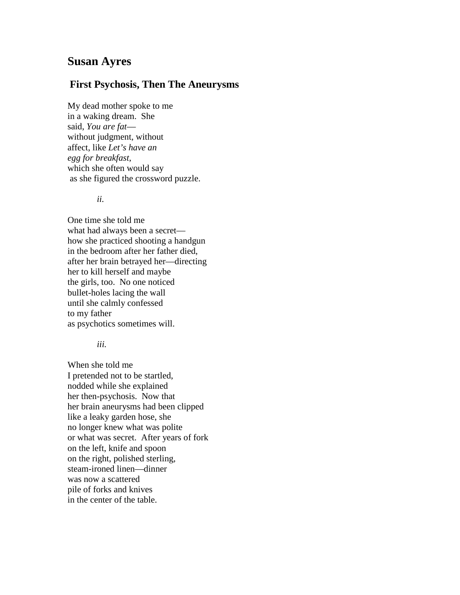## **Susan Ayres**

## **First Psychosis, Then The Aneurysms**

My dead mother spoke to me in a waking dream. She said, *You are fat* without judgment, without affect, like *Let's have an egg for breakfast*, which she often would say as she figured the crossword puzzle.

*ii.*

One time she told me what had always been a secret how she practiced shooting a handgun in the bedroom after her father died, after her brain betrayed her—directing her to kill herself and maybe the girls, too. No one noticed bullet-holes lacing the wall until she calmly confessed to my father as psychotics sometimes will.

*iii.*

When she told me I pretended not to be startled, nodded while she explained her then-psychosis. Now that her brain aneurysms had been clipped like a leaky garden hose, she no longer knew what was polite or what was secret. After years of fork on the left, knife and spoon on the right, polished sterling, steam-ironed linen—dinner was now a scattered pile of forks and knives in the center of the table.